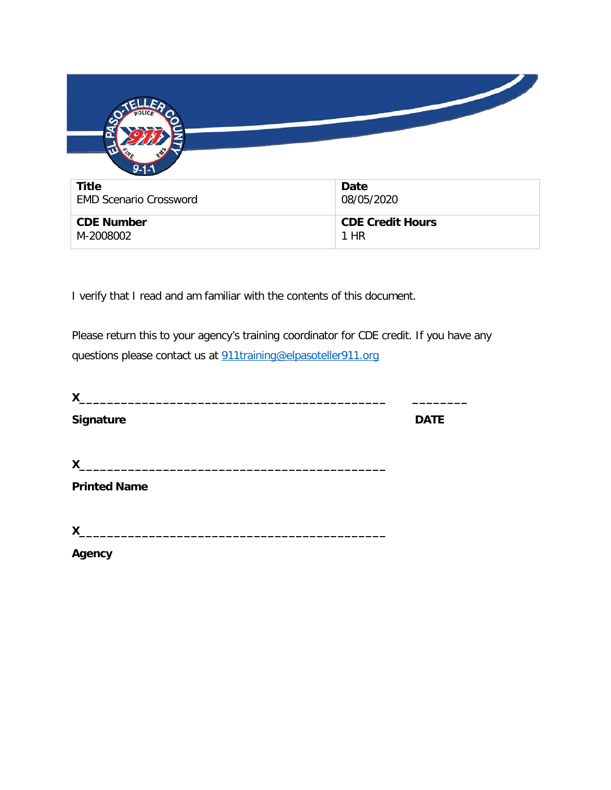

I verify that I read and am familiar with the contents of this document.

Please return this to your agency's training coordinator for CDE credit. If you have any questions please contact us at [911training@elpasoteller911.org](mailto:911training@elpasoteller911.org)

| X                                                                                                                                    |             |
|--------------------------------------------------------------------------------------------------------------------------------------|-------------|
| Signature                                                                                                                            | <b>DATE</b> |
| $\mathsf{X}$<br><u> 1989 - Johann Stein, mars an deutscher Stein und der Stein und der Stein und der Stein und der Stein und der</u> |             |
| <b>Printed Name</b>                                                                                                                  |             |
| X<br><u> 1986 - John Stein, Amerikaansk politiker (</u>                                                                              |             |
| Agency                                                                                                                               |             |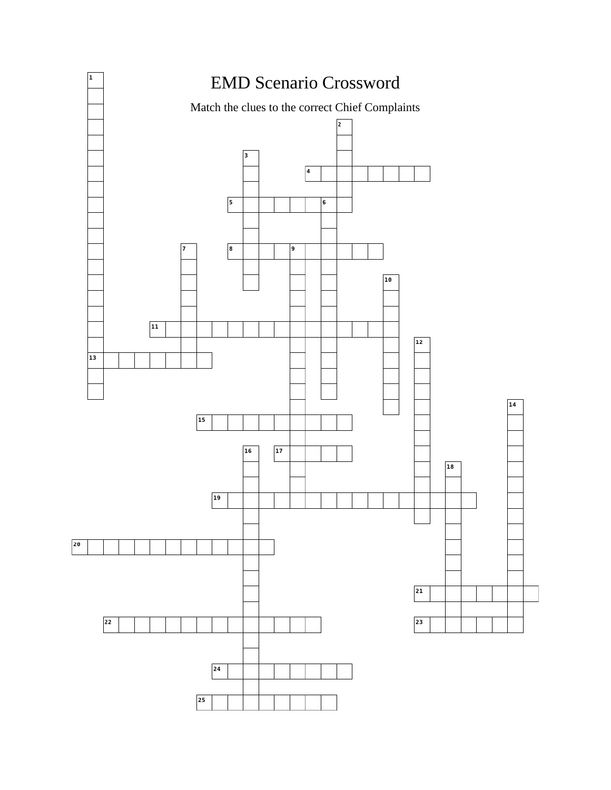